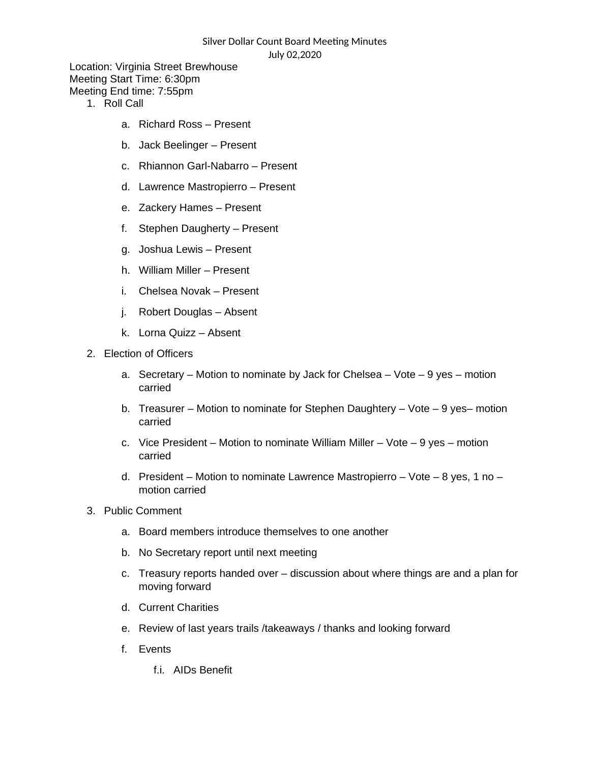## Silver Dollar Count Board Meeting Minutes July 02,2020

Location: Virginia Street Brewhouse Meeting Start Time: 6:30pm Meeting End time: 7:55pm 1. Roll Call

- - a. Richard Ross Present
	- b. Jack Beelinger Present
	- c. Rhiannon Garl-Nabarro Present
	- d. Lawrence Mastropierro Present
	- e. Zackery Hames Present
	- f. Stephen Daugherty Present
	- g. Joshua Lewis Present
	- h. William Miller Present
	- i. Chelsea Novak Present
	- j. Robert Douglas Absent
	- k. Lorna Quizz Absent
- 2. Election of Officers
	- a. Secretary Motion to nominate by Jack for Chelsea Vote 9 yes motion carried
	- b. Treasurer Motion to nominate for Stephen Daughtery Vote 9 yes– motion carried
	- c. Vice President Motion to nominate William Miller Vote 9 yes motion carried
	- d. President Motion to nominate Lawrence Mastropierro Vote 8 yes, 1 no motion carried
- 3. Public Comment
	- a. Board members introduce themselves to one another
	- b. No Secretary report until next meeting
	- c. Treasury reports handed over discussion about where things are and a plan for moving forward
	- d. Current Charities
	- e. Review of last years trails /takeaways / thanks and looking forward
	- f. Events
		- f.i. AIDs Benefit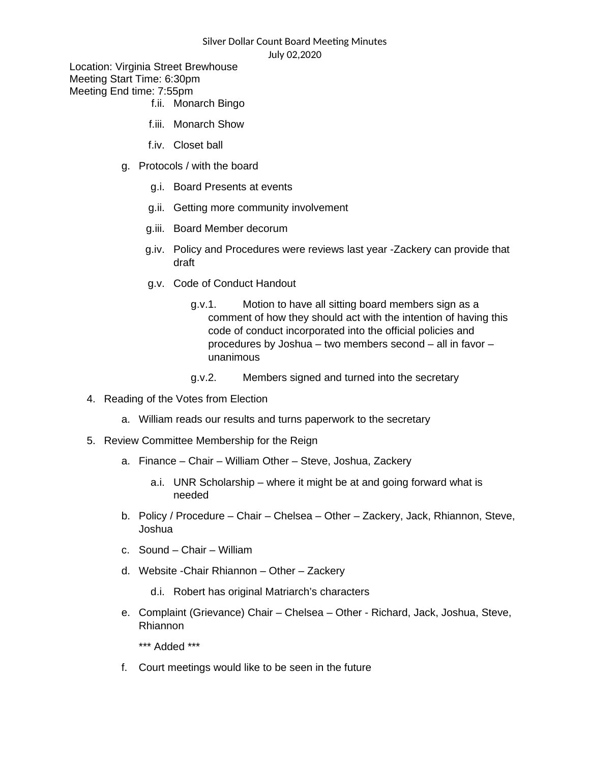## Silver Dollar Count Board Meeting Minutes July 02,2020

Location: Virginia Street Brewhouse Meeting Start Time: 6:30pm Meeting End time: 7:55pm

- f.ii. Monarch Bingo
- f.iii. Monarch Show
- f.iv. Closet ball
- g. Protocols / with the board
	- g.i. Board Presents at events
	- g.ii. Getting more community involvement
	- g.iii. Board Member decorum
	- g.iv. Policy and Procedures were reviews last year -Zackery can provide that draft
	- g.v. Code of Conduct Handout
		- g.v.1. Motion to have all sitting board members sign as a comment of how they should act with the intention of having this code of conduct incorporated into the official policies and procedures by Joshua – two members second – all in favor – unanimous
		- g.v.2. Members signed and turned into the secretary
- 4. Reading of the Votes from Election
	- a. William reads our results and turns paperwork to the secretary
- 5. Review Committee Membership for the Reign
	- a. Finance Chair William Other Steve, Joshua, Zackery
		- a.i. UNR Scholarship where it might be at and going forward what is needed
	- b. Policy / Procedure Chair Chelsea Other Zackery, Jack, Rhiannon, Steve, Joshua
	- c. Sound Chair William
	- d. Website -Chair Rhiannon Other Zackery
		- d.i. Robert has original Matriarch's characters
	- e. Complaint (Grievance) Chair Chelsea Other Richard, Jack, Joshua, Steve, Rhiannon
		- \*\*\* Added \*\*\*
	- f. Court meetings would like to be seen in the future